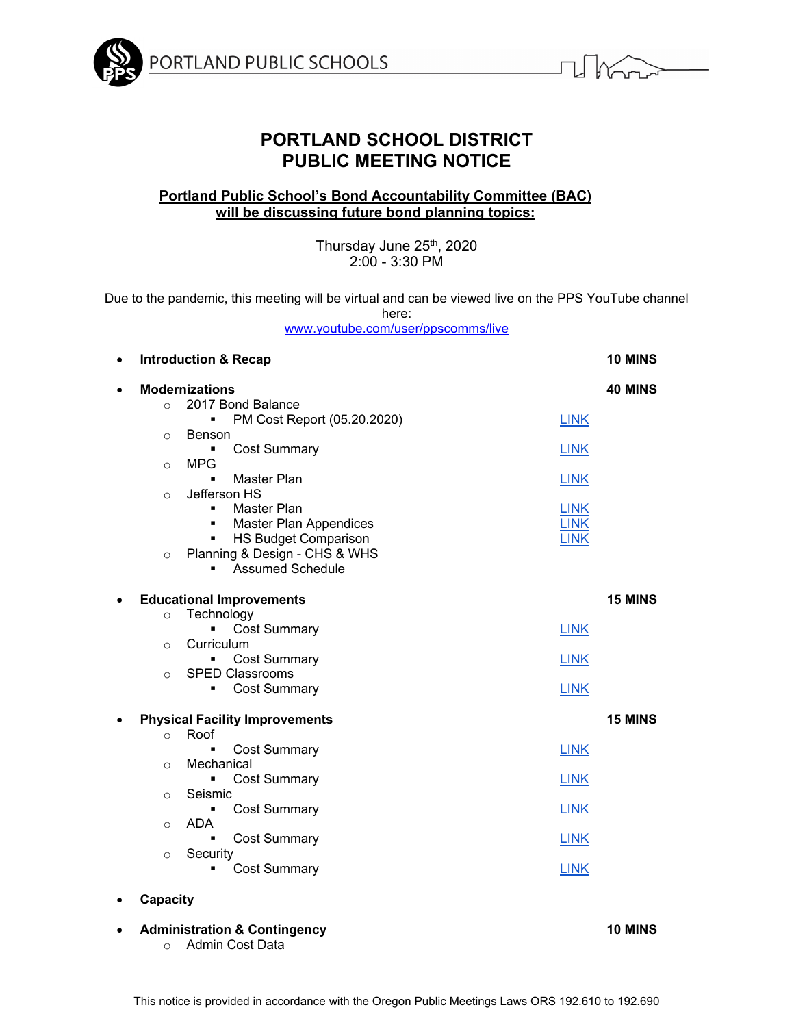



# **PORTLAND SCHOOL DISTRICT PUBLIC MEETING NOTICE**

# **Portland Public School's Bond Accountability Committee (BAC) will be discussing future bond planning topics:**

Thursday June 25<sup>th</sup>, 2020 2:00 - 3:30 PM

Due to the pandemic, this meeting will be virtual and can be viewed live on the PPS YouTube channel here:

www.youtube.com/user/ppscomms/live

| $\bullet$ |          | <b>Introduction &amp; Recap</b>               |             | <b>10 MINS</b> |
|-----------|----------|-----------------------------------------------|-------------|----------------|
| $\bullet$ |          | <b>Modernizations</b>                         |             | <b>40 MINS</b> |
|           | $\circ$  | 2017 Bond Balance                             |             |                |
|           |          | PM Cost Report (05.20.2020)<br>$\blacksquare$ | <b>LINK</b> |                |
|           | $\Omega$ | Benson                                        |             |                |
|           |          | <b>Cost Summary</b><br>٠                      | <b>LINK</b> |                |
|           | $\circ$  | <b>MPG</b>                                    |             |                |
|           |          | <b>Master Plan</b>                            | <b>LINK</b> |                |
|           | $\circ$  | Jefferson HS                                  |             |                |
|           |          | Master Plan<br>$\blacksquare$                 | <b>LINK</b> |                |
|           |          | Master Plan Appendices<br>٠                   | <b>LINK</b> |                |
|           |          | <b>HS Budget Comparison</b><br>٠              | <b>LINK</b> |                |
|           | $\circ$  | Planning & Design - CHS & WHS                 |             |                |
|           |          | <b>Assumed Schedule</b><br>$\blacksquare$     |             |                |
|           |          |                                               |             |                |
| $\bullet$ |          | <b>Educational Improvements</b>               |             | <b>15 MINS</b> |
|           | $\circ$  | Technology                                    |             |                |
|           |          | <b>Cost Summary</b><br>Ë                      | <b>LINK</b> |                |
|           | $\Omega$ | Curriculum                                    |             |                |
|           |          | <b>Cost Summary</b><br>٠                      | <b>LINK</b> |                |
|           | $\circ$  | <b>SPED Classrooms</b>                        |             |                |
|           |          | <b>Cost Summary</b><br>٠                      | <b>LINK</b> |                |
|           |          |                                               |             |                |
| $\bullet$ |          | <b>Physical Facility Improvements</b>         |             | <b>15 MINS</b> |
|           | $\circ$  | Roof                                          |             |                |
|           |          | <b>Cost Summary</b><br>$\blacksquare$         | <b>LINK</b> |                |
|           | $\circ$  | Mechanical                                    |             |                |
|           |          | <b>Cost Summary</b>                           | <b>LINK</b> |                |
|           | $\circ$  | Seismic                                       |             |                |
|           |          | <b>Cost Summary</b><br>$\blacksquare$         | <b>LINK</b> |                |
|           | $\circ$  | <b>ADA</b>                                    |             |                |
|           |          | <b>Cost Summary</b><br>$\blacksquare$         | <b>LINK</b> |                |
|           | $\Omega$ | Security                                      |             |                |
|           |          | <b>Cost Summary</b>                           | <b>LINK</b> |                |
|           |          |                                               |             |                |
|           |          |                                               |             |                |

- **Capacity**
- **Administration & Contingency 10 MINS**  o Admin Cost Data